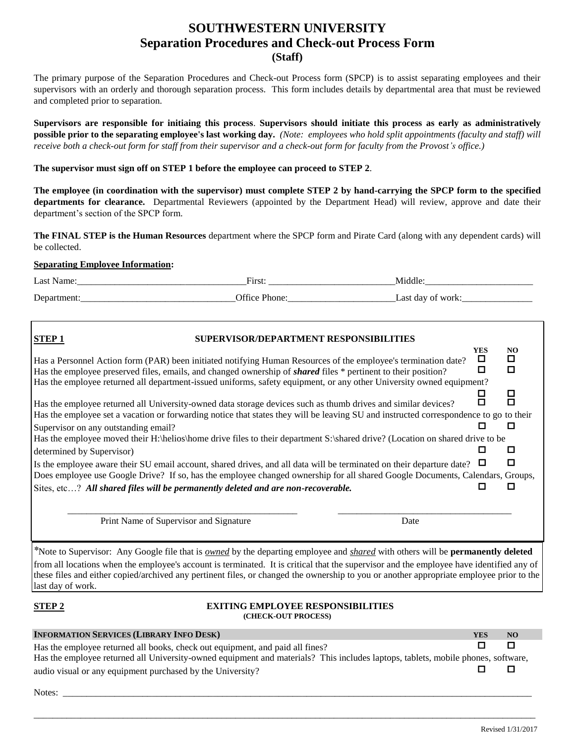# **SOUTHWESTERN UNIVERSITY Separation Procedures and Check-out Process Form (Staff)**

The primary purpose of the Separation Procedures and Check-out Process form (SPCP) is to assist separating employees and their supervisors with an orderly and thorough separation process. This form includes details by departmental area that must be reviewed and completed prior to separation.

**Supervisors are responsible for initiaing this process**. **Supervisors should initiate this process as early as administratively possible prior to the separating employee's last working day.** *(Note: employees who hold split appointments (faculty and staff) will receive both a check-out form for staff from their supervisor and a check-out form for faculty from the Provost's office.)*

## **The supervisor must sign off on STEP 1 before the employee can proceed to STEP 2**.

**The employee (in coordination with the supervisor) must complete STEP 2 by hand-carrying the SPCP form to the specified departments for clearance.** Departmental Reviewers (appointed by the Department Head) will review, approve and date their department's section of the SPCP form.

**The FINAL STEP is the Human Resources** department where the SPCP form and Pirate Card (along with any dependent cards) will be collected.

### **Separating Employee Information:**

| ∟ast<br>маше                             | $\Gamma$ .<br>- 11190.<br>__ |                                           |
|------------------------------------------|------------------------------|-------------------------------------------|
| $\sqrt{ }$<br>$\mathbf{h}$<br>◡<br>_____ | $Q_{\text{ffice}}$           | Last<br>da,<br>эT<br>.<br>_______________ |

| <b>STEP1</b><br>SUPERVISOR/DEPARTMENT RESPONSIBILITIES                                                                                                                                                                                                                                                                                                                                                                                                            |                      |               |
|-------------------------------------------------------------------------------------------------------------------------------------------------------------------------------------------------------------------------------------------------------------------------------------------------------------------------------------------------------------------------------------------------------------------------------------------------------------------|----------------------|---------------|
| Has a Personnel Action form (PAR) been initiated notifying Human Resources of the employee's termination date?<br>Has the employee preserved files, emails, and changed ownership of <b>shared</b> files * pertinent to their position?                                                                                                                                                                                                                           | <b>YES</b><br>□<br>□ | NO.<br>□<br>П |
| Has the employee returned all department-issued uniforms, safety equipment, or any other University owned equipment?<br>Has the employee returned all University-owned data storage devices such as thumb drives and similar devices?<br>Has the employee set a vacation or forwarding notice that states they will be leaving SU and instructed correspondence to go to their                                                                                    |                      | □<br>П        |
| Supervisor on any outstanding email?<br>Has the employee moved their H:\helios\home drive files to their department S:\shared drive? (Location on shared drive to be                                                                                                                                                                                                                                                                                              |                      |               |
| determined by Supervisor)                                                                                                                                                                                                                                                                                                                                                                                                                                         |                      | П             |
| Is the employee aware their SU email account, shared drives, and all data will be terminated on their departure date?<br>Does employee use Google Drive? If so, has the employee changed ownership for all shared Google Documents, Calendars, Groups,                                                                                                                                                                                                            |                      | П             |
| Sites, etc? All shared files will be permanently deleted and are non-recoverable.                                                                                                                                                                                                                                                                                                                                                                                 |                      |               |
| Print Name of Supervisor and Signature<br>Date                                                                                                                                                                                                                                                                                                                                                                                                                    |                      |               |
| *Note to Supervisor: Any Google file that is <i>owned</i> by the departing employee and <i>shared</i> with others will be <b>permanently deleted</b><br>from all locations when the employee's account is terminated. It is critical that the supervisor and the employee have identified any of<br>these files and either copied/archived any pertinent files, or changed the ownership to you or another appropriate employee prior to the<br>last day of work. |                      |               |

#### **EXITING EMPLOYEE RESPONSIBILITIES (CHECK-OUT PROCESS)**

| <b>INFORMATION SERVICES (LIBRARY INFO DESK)</b>                                                                                  | <b>YES</b> | NO. |
|----------------------------------------------------------------------------------------------------------------------------------|------------|-----|
| Has the employee returned all books, check out equipment, and paid all fines?                                                    |            |     |
| Has the employee returned all University-owned equipment and materials? This includes laptops, tablets, mobile phones, software, |            |     |
| audio visual or any equipment purchased by the University?                                                                       |            |     |

\_\_\_\_\_\_\_\_\_\_\_\_\_\_\_\_\_\_\_\_\_\_\_\_\_\_\_\_\_\_\_\_\_\_\_\_\_\_\_\_\_\_\_\_\_\_\_\_\_\_\_\_\_\_\_\_\_\_\_\_\_\_\_\_\_\_\_\_\_\_\_\_\_\_\_\_\_\_\_\_\_\_\_\_\_\_\_\_\_\_\_\_\_\_\_\_\_\_\_\_\_\_\_\_\_\_\_

Notes: \_\_\_\_\_\_\_\_\_\_\_\_\_\_\_\_\_\_\_\_\_\_\_\_\_\_\_\_\_\_\_\_\_\_\_\_\_\_\_\_\_\_\_\_\_\_\_\_\_\_\_\_\_\_\_\_\_\_\_\_\_\_\_\_\_\_\_\_\_\_\_\_\_\_\_\_\_\_\_\_\_\_\_\_\_\_\_\_\_\_\_\_\_\_\_\_\_\_\_\_